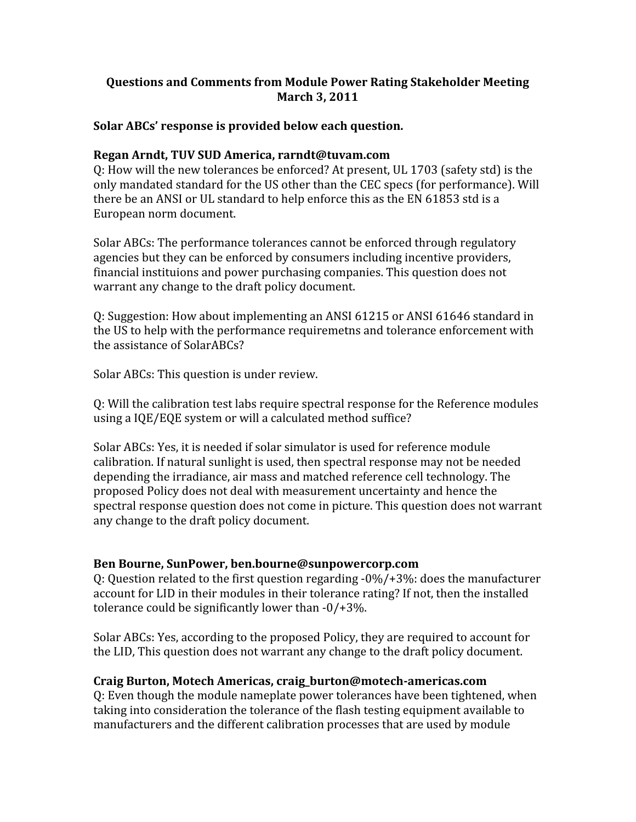# **Questions and Comments from Module Power Rating Stakeholder Meeting March 3, 2011**

## **Solar ABCs' response is provided below each question.**

## **Regan Arndt, TUV SUD America, rarndt@tuvam.com**

Q: How will the new tolerances be enforced? At present, UL 1703 (safety std) is the only mandated standard for the US other than the CEC specs (for performance). Will there be an ANSI or UL standard to help enforce this as the EN 61853 std is a European norm document.

Solar ABCs: The performance tolerances cannot be enforced through regulatory agencies but they can be enforced by consumers including incentive providers, financial instituions and power purchasing companies. This question does not warrant any change to the draft policy document.

Q: Suggestion: How about implementing an ANSI 61215 or ANSI 61646 standard in the US to help with the performance requiremetns and tolerance enforcement with the assistance of SolarABCs?

Solar ABCs: This question is under review.

Q: Will the calibration test labs require spectral response for the Reference modules using a IQE/EQE system or will a calculated method suffice?

Solar ABCs: Yes, it is needed if solar simulator is used for reference module calibration. If natural sunlight is used, then spectral response may not be needed depending the irradiance, air mass and matched reference cell technology. The proposed Policy does not deal with measurement uncertainty and hence the spectral response question does not come in picture. This question does not warrant any change to the draft policy document.

## **Ben Bourne, SunPower, ben.bourne@sunpowercorp.com**

Q: Question related to the first question regarding ‐0%/+3%: does the manufacturer account for LID in their modules in their tolerance rating? If not, then the installed tolerance could be significantly lower than ‐0/+3%.

Solar ABCs: Yes, according to the proposed Policy, they are required to account for the LID, This question does not warrant any change to the draft policy document.

## **Craig Burton, Motech Americas, craig\_burton@motech‐americas.com**

Q: Even though the module nameplate power tolerances have been tightened, when taking into consideration the tolerance of the flash testing equipment available to manufacturers and the different calibration processes that are used by module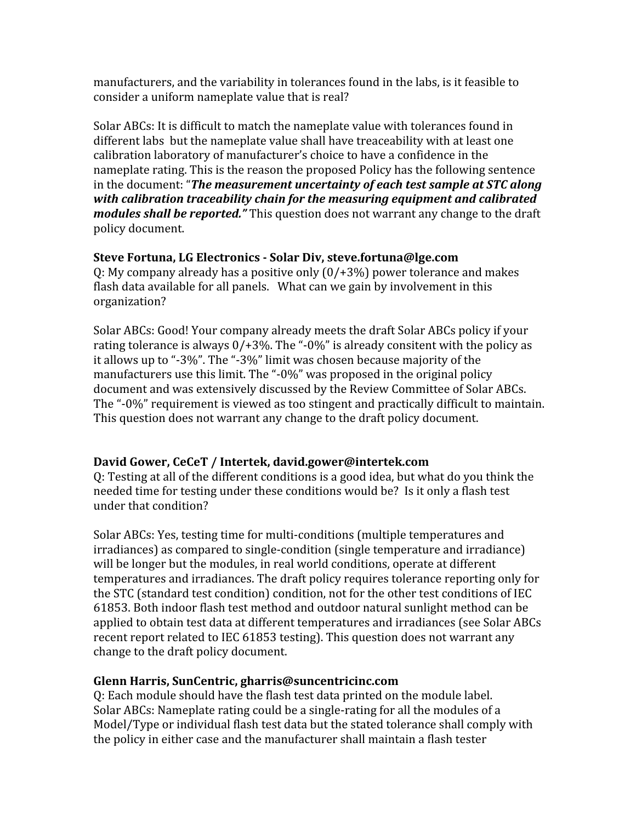manufacturers, and the variability in tolerances found in the labs, is it feasible to consider a uniform nameplate value that is real?

Solar ABCs: It is difficult to match the nameplate value with tolerances found in different labs but the nameplate value shall have treaceability with at least one calibration laboratory of manufacturer's choice to have a confidence in the nameplate rating. This is the reason the proposed Policy has the following sentence in the document: "*The measurement uncertainty of each test sample at STC along with calibration traceability chain for the measuring equipment and calibrated modules shall be reported."* This question does not warrant any change to the draft policy document.

**Steve Fortuna, LG Electronics ‐ Solar Div, steve.fortuna@lge.com** Q: My company already has a positive only (0/+3%) power tolerance and makes flash data available for all panels. What can we gain by involvement in this organization?

Solar ABCs: Good! Your company already meets the draft Solar ABCs policy if your rating tolerance is always  $0/43$ %. The "-0%" is already consitent with the policy as it allows up to "‐3%". The "‐3%" limit was chosen because majority of the manufacturers use this limit. The "-0%" was proposed in the original policy document and was extensively discussed by the Review Committee of Solar ABCs. The "‐0%" requirement is viewed as too stingent and practically difficult to maintain. This question does not warrant any change to the draft policy document.

# **David Gower, CeCeT / Intertek, david.gower@intertek.com**

Q: Testing at all of the different conditions is a good idea, but what do you think the needed time for testing under these conditions would be? Is it only a flash test under that condition?

Solar ABCs: Yes, testing time for multi‐conditions (multiple temperatures and irradiances) as compared to single‐condition (single temperature and irradiance) will be longer but the modules, in real world conditions, operate at different temperatures and irradiances. The draft policy requires tolerance reporting only for the STC (standard test condition) condition, not for the other test conditions of IEC 61853. Both indoor flash test method and outdoor natural sunlight method can be applied to obtain test data at different temperatures and irradiances (see Solar ABCs recent report related to IEC 61853 testing). This question does not warrant any change to the draft policy document.

# **Glenn Harris, SunCentric, gharris@suncentricinc.com**

Q: Each module should have the flash test data printed on the module label. Solar ABCs: Nameplate rating could be a single‐rating for all the modules of a Model/Type or individual flash test data but the stated tolerance shall comply with the policy in either case and the manufacturer shall maintain a flash tester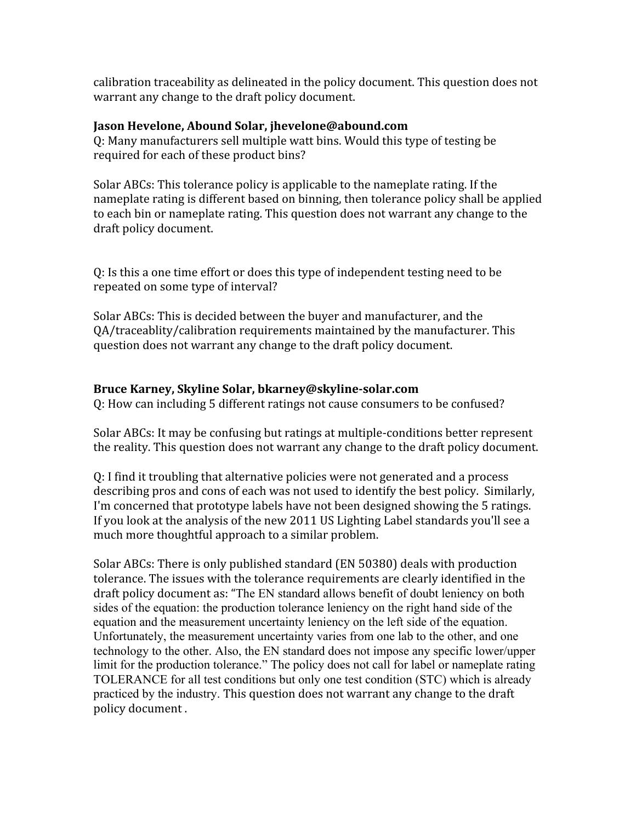calibration traceability as delineated in the policy document. This question does not warrant any change to the draft policy document.

## **Jason Hevelone, Abound Solar, jhevelone@abound.com**

Q: Many manufacturers sell multiple watt bins. Would this type of testing be required for each of these product bins?

Solar ABCs: This tolerance policy is applicable to the nameplate rating. If the nameplate rating is different based on binning, then tolerance policy shall be applied to each bin or nameplate rating. This question does not warrant any change to the draft policy document.

Q: Is this a one time effort or does this type of independent testing need to be repeated on some type of interval?

Solar ABCs: This is decided between the buyer and manufacturer, and the QA/traceablity/calibration requirements maintained by the manufacturer. This question does not warrant any change to the draft policy document.

## **Bruce Karney, Skyline Solar, bkarney@skyline‐solar.com**

Q: How can including 5 different ratings not cause consumers to be confused?

Solar ABCs: It may be confusing but ratings at multiple‐conditions better represent the reality. This question does not warrant any change to the draft policy document.

Q: I find it troubling that alternative policies were not generated and a process describing pros and cons of each was not used to identify the best policy. Similarly, I'm concerned that prototype labels have not been designed showing the 5 ratings. If you look at the analysis of the new 2011 US Lighting Label standards you'll see a much more thoughtful approach to a similar problem.

Solar ABCs: There is only published standard (EN 50380) deals with production tolerance. The issues with the tolerance requirements are clearly identified in the draft policy document as: "The EN standard allows benefit of doubt leniency on both sides of the equation: the production tolerance leniency on the right hand side of the equation and the measurement uncertainty leniency on the left side of the equation. Unfortunately, the measurement uncertainty varies from one lab to the other, and one technology to the other. Also, the EN standard does not impose any specific lower/upper limit for the production tolerance." The policy does not call for label or nameplate rating TOLERANCE for all test conditions but only one test condition (STC) which is already practiced by the industry. This question does not warrant any change to the draft policy document .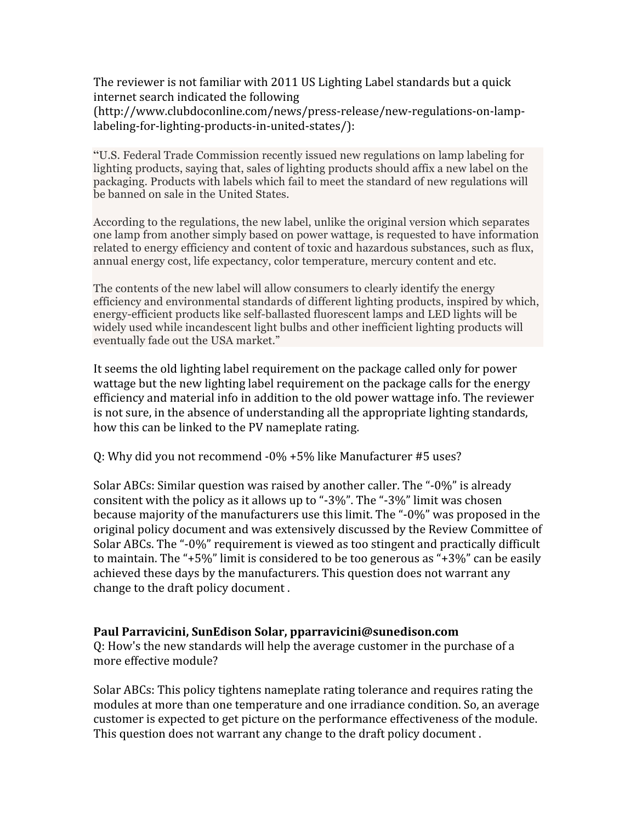The reviewer is not familiar with 2011 US Lighting Label standards but a quick internet search indicated the following (http://www.clubdoconline.com/news/press‐release/new‐regulations‐on‐lamp‐ labeling‐for‐lighting‐products‐in‐united‐states/):

"U.S. Federal Trade Commission recently issued new regulations on lamp labeling for lighting products, saying that, sales of lighting products should affix a new label on the packaging. Products with labels which fail to meet the standard of new regulations will be banned on sale in the United States.

According to the regulations, the new label, unlike the original version which separates one lamp from another simply based on power wattage, is requested to have information related to energy efficiency and content of toxic and hazardous substances, such as flux, annual energy cost, life expectancy, color temperature, mercury content and etc.

The contents of the new label will allow consumers to clearly identify the energy efficiency and environmental standards of different lighting products, inspired by which, energy-efficient products like self-ballasted fluorescent lamps and LED lights will be widely used while incandescent light bulbs and other inefficient lighting products will eventually fade out the USA market."

It seems the old lighting label requirement on the package called only for power wattage but the new lighting label requirement on the package calls for the energy efficiency and material info in addition to the old power wattage info. The reviewer is not sure, in the absence of understanding all the appropriate lighting standards, how this can be linked to the PV nameplate rating.

Q: Why did you not recommend ‐0% +5% like Manufacturer #5 uses?

Solar ABCs: Similar question was raised by another caller. The "‐0%" is already consitent with the policy as it allows up to "‐3%". The "‐3%" limit was chosen because majority of the manufacturers use this limit. The "‐0%" was proposed in the original policy document and was extensively discussed by the Review Committee of Solar ABCs. The "‐0%" requirement is viewed as too stingent and practically difficult to maintain. The "+5%" limit is considered to be too generous as "+3%" can be easily achieved these days by the manufacturers. This question does not warrant any change to the draft policy document .

## **Paul Parravicini, SunEdison Solar, pparravicini@sunedison.com**

Q: How's the new standards will help the average customer in the purchase of a more effective module?

Solar ABCs: This policy tightens nameplate rating tolerance and requires rating the modules at more than one temperature and one irradiance condition. So, an average customer is expected to get picture on the performance effectiveness of the module. This question does not warrant any change to the draft policy document .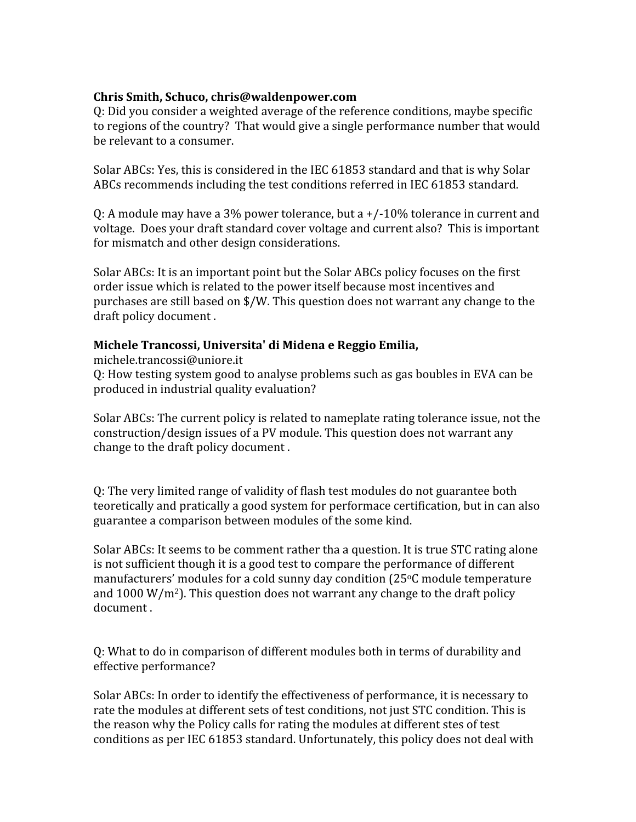## **Chris Smith, Schuco, chris@waldenpower.com**

Q: Did you consider a weighted average of the reference conditions, maybe specific to regions of the country? That would give a single performance number that would be relevant to a consumer.

Solar ABCs: Yes, this is considered in the IEC 61853 standard and that is why Solar ABCs recommends including the test conditions referred in IEC 61853 standard.

Q: A module may have a 3% power tolerance, but a +/‐10% tolerance in current and voltage. Does your draft standard cover voltage and current also? This is important for mismatch and other design considerations.

Solar ABCs: It is an important point but the Solar ABCs policy focuses on the first order issue which is related to the power itself because most incentives and purchases are still based on \$/W. This question does not warrant any change to the draft policy document .

## **Michele Trancossi, Universita' di Midena e Reggio Emilia,**

michele.trancossi@uniore.it Q: How testing system good to analyse problems such as gas boubles in EVA can be produced in industrial quality evaluation?

Solar ABCs: The current policy is related to nameplate rating tolerance issue, not the construction/design issues of a PV module. This question does not warrant any change to the draft policy document .

Q: The very limited range of validity of flash test modules do not guarantee both teoretically and pratically a good system for performace certification, but in can also guarantee a comparison between modules of the some kind.

Solar ABCs: It seems to be comment rather tha a question. It is true STC rating alone is not sufficient though it is a good test to compare the performance of different manufacturers' modules for a cold sunny day condition  $(25^{\circ}C \text{ module temperature})$ and  $1000 \,\mathrm{W/m^2}$ ). This question does not warrant any change to the draft policy document .

Q: What to do in comparison of different modules both in terms of durability and effective performance?

Solar ABCs: In order to identify the effectiveness of performance, it is necessary to rate the modules at different sets of test conditions, not just STC condition. This is the reason why the Policy calls for rating the modules at different stes of test conditions as per IEC 61853 standard. Unfortunately, this policy does not deal with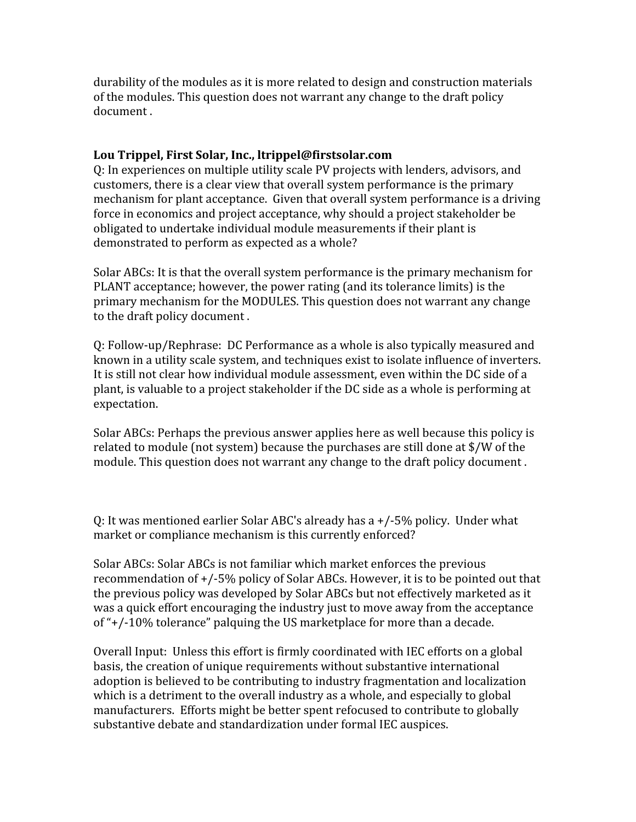durability of the modules as it is more related to design and construction materials of the modules. This question does not warrant any change to the draft policy document .

## **Lou Trippel, First Solar, Inc., ltrippel@firstsolar.com**

Q: In experiences on multiple utility scale PV projects with lenders, advisors, and customers, there is a clear view that overall system performance is the primary mechanism for plant acceptance. Given that overall system performance is a driving force in economics and project acceptance, why should a project stakeholder be obligated to undertake individual module measurements if their plant is demonstrated to perform as expected as a whole?

Solar ABCs: It is that the overall system performance is the primary mechanism for PLANT acceptance; however, the power rating (and its tolerance limits) is the primary mechanism for the MODULES. This question does not warrant any change to the draft policy document .

Q: Follow‐up/Rephrase: DC Performance as a whole is also typically measured and known in a utility scale system, and techniques exist to isolate influence of inverters. It is still not clear how individual module assessment, even within the DC side of a plant, is valuable to a project stakeholder if the DC side as a whole is performing at expectation.

Solar ABCs: Perhaps the previous answer applies here as well because this policy is related to module (not system) because the purchases are still done at \$/W of the module. This question does not warrant any change to the draft policy document .

Q: It was mentioned earlier Solar ABC's already has a +/‐5% policy. Under what market or compliance mechanism is this currently enforced?

Solar ABCs: Solar ABCs is not familiar which market enforces the previous recommendation of +/‐5% policy of Solar ABCs. However, it is to be pointed out that the previous policy was developed by Solar ABCs but not effectively marketed as it was a quick effort encouraging the industry just to move away from the acceptance of "+/‐10% tolerance" palquing the US marketplace for more than a decade.

Overall Input: Unless this effort is firmly coordinated with IEC efforts on a global basis, the creation of unique requirements without substantive international adoption is believed to be contributing to industry fragmentation and localization which is a detriment to the overall industry as a whole, and especially to global manufacturers. Efforts might be better spent refocused to contribute to globally substantive debate and standardization under formal IEC auspices.